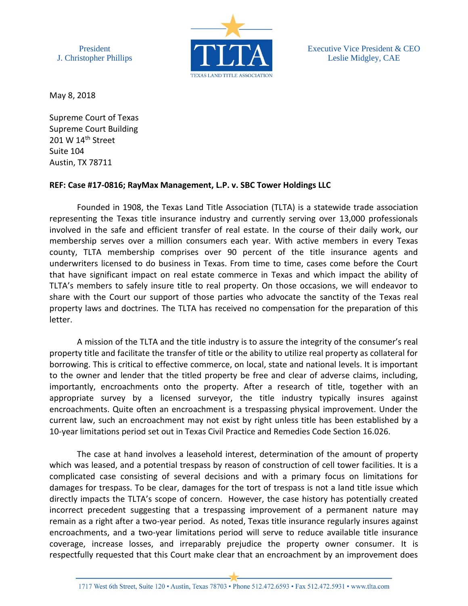President J. Christopher Phillips



Executive Vice President & CEO Leslie Midgley, CAE

May 8, 2018

Supreme Court of Texas Supreme Court Building 201 W  $14<sup>th</sup>$  Street Suite 104 Austin, TX 78711

## **REF: Case #17-0816; RayMax Management, L.P. v. SBC Tower Holdings LLC**

Founded in 1908, the Texas Land Title Association (TLTA) is a statewide trade association representing the Texas title insurance industry and currently serving over 13,000 professionals involved in the safe and efficient transfer of real estate. In the course of their daily work, our membership serves over a million consumers each year. With active members in every Texas county, TLTA membership comprises over 90 percent of the title insurance agents and underwriters licensed to do business in Texas. From time to time, cases come before the Court that have significant impact on real estate commerce in Texas and which impact the ability of TLTA's members to safely insure title to real property. On those occasions, we will endeavor to share with the Court our support of those parties who advocate the sanctity of the Texas real property laws and doctrines. The TLTA has received no compensation for the preparation of this letter.

A mission of the TLTA and the title industry is to assure the integrity of the consumer's real property title and facilitate the transfer of title or the ability to utilize real property as collateral for borrowing. This is critical to effective commerce, on local, state and national levels. It is important to the owner and lender that the titled property be free and clear of adverse claims, including, importantly, encroachments onto the property. After a research of title, together with an appropriate survey by a licensed surveyor, the title industry typically insures against encroachments. Quite often an encroachment is a trespassing physical improvement. Under the current law, such an encroachment may not exist by right unless title has been established by a 10-year limitations period set out in Texas Civil Practice and Remedies Code Section 16.026.

The case at hand involves a leasehold interest, determination of the amount of property which was leased, and a potential trespass by reason of construction of cell tower facilities. It is a complicated case consisting of several decisions and with a primary focus on limitations for damages for trespass. To be clear, damages for the tort of trespass is not a land title issue which directly impacts the TLTA's scope of concern. However, the case history has potentially created incorrect precedent suggesting that a trespassing improvement of a permanent nature may remain as a right after a two-year period. As noted, Texas title insurance regularly insures against encroachments, and a two-year limitations period will serve to reduce available title insurance coverage, increase losses, and irreparably prejudice the property owner consumer. It is respectfully requested that this Court make clear that an encroachment by an improvement does

1717 West 6th Street, Suite 120 · Austin, Texas 78703 · Phone 512.472.6593 · Fax 512.472.5931 · www.tlta.com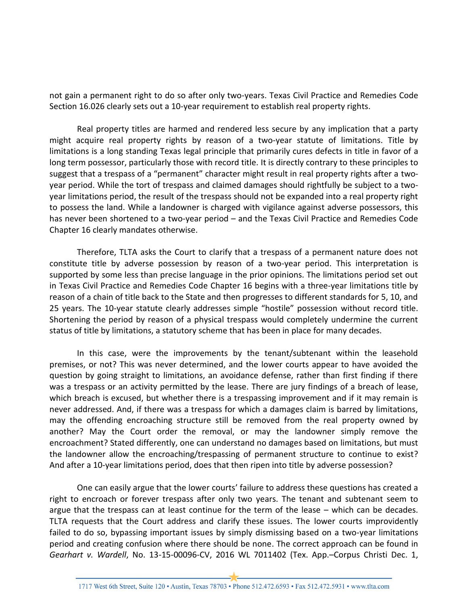not gain a permanent right to do so after only two-years. Texas Civil Practice and Remedies Code Section 16.026 clearly sets out a 10-year requirement to establish real property rights.

Real property titles are harmed and rendered less secure by any implication that a party might acquire real property rights by reason of a two-year statute of limitations. Title by limitations is a long standing Texas legal principle that primarily cures defects in title in favor of a long term possessor, particularly those with record title. It is directly contrary to these principles to suggest that a trespass of a "permanent" character might result in real property rights after a twoyear period. While the tort of trespass and claimed damages should rightfully be subject to a twoyear limitations period, the result of the trespass should not be expanded into a real property right to possess the land. While a landowner is charged with vigilance against adverse possessors, this has never been shortened to a two-year period - and the Texas Civil Practice and Remedies Code Chapter 16 clearly mandates otherwise.

Therefore, TLTA asks the Court to clarify that a trespass of a permanent nature does not constitute title by adverse possession by reason of a two-year period. This interpretation is supported by some less than precise language in the prior opinions. The limitations period set out in Texas Civil Practice and Remedies Code Chapter 16 begins with a three-year limitations title by reason of a chain of title back to the State and then progresses to different standards for 5, 10, and 25 years. The 10-year statute clearly addresses simple "hostile" possession without record title. Shortening the period by reason of a physical trespass would completely undermine the current status of title by limitations, a statutory scheme that has been in place for many decades.

In this case, were the improvements by the tenant/subtenant within the leasehold premises, or not? This was never determined, and the lower courts appear to have avoided the question by going straight to limitations, an avoidance defense, rather than first finding if there was a trespass or an activity permitted by the lease. There are jury findings of a breach of lease, which breach is excused, but whether there is a trespassing improvement and if it may remain is never addressed. And, if there was a trespass for which a damages claim is barred by limitations, may the offending encroaching structure still be removed from the real property owned by another? May the Court order the removal, or may the landowner simply remove the encroachment? Stated differently, one can understand no damages based on limitations, but must the landowner allow the encroaching/trespassing of permanent structure to continue to exist? And after a 10-year limitations period, does that then ripen into title by adverse possession?

One can easily argue that the lower courts' failure to address these questions has created a right to encroach or forever trespass after only two years. The tenant and subtenant seem to argue that the trespass can at least continue for the term of the lease – which can be decades. TLTA requests that the Court address and clarify these issues. The lower courts improvidently failed to do so, bypassing important issues by simply dismissing based on a two-year limitations period and creating confusion where there should be none. The correct approach can be found in *Gearhart v. Wardell*, No. 13-15-00096-CV, 2016 WL 7011402 (Tex. App.–Corpus Christi Dec. 1,

1717 West 6th Street, Suite 120 · Austin, Texas 78703 · Phone 512.472.6593 · Fax 512.472.5931 · www.tlta.com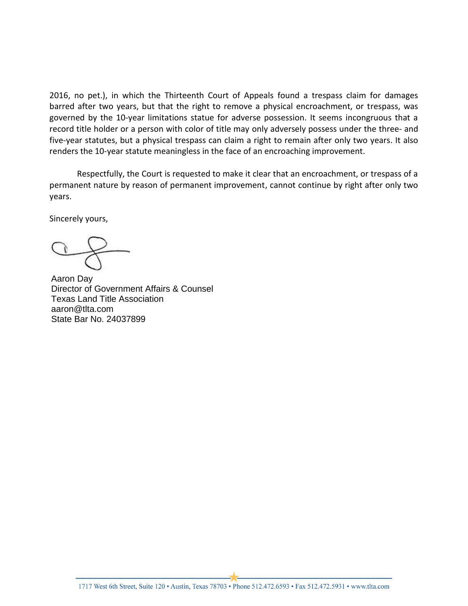2016, no pet.), in which the Thirteenth Court of Appeals found a trespass claim for damages barred after two years, but that the right to remove a physical encroachment, or trespass, was governed by the 10-year limitations statue for adverse possession. It seems incongruous that a record title holder or a person with color of title may only adversely possess under the three- and five-year statutes, but a physical trespass can claim a right to remain after only two years. It also renders the 10-year statute meaningless in the face of an encroaching improvement.

Respectfully, the Court is requested to make it clear that an encroachment, or trespass of a permanent nature by reason of permanent improvement, cannot continue by right after only two years.

Sincerely yours,

State Bar No. 24037899 Aaron Day Director of Government Affairs & Counsel Texas Land Title Association aaron@tlta.com